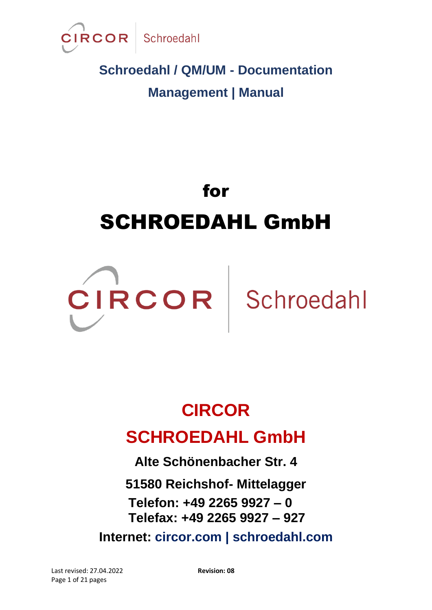

# for SCHROEDAHL GmbH



# **CIRCOR**

### **SCHROEDAHL GmbH**

**Alte Schönenbacher Str. 4**

**51580 Reichshof- Mittelagger Telefon: +49 2265 9927 – 0 Telefax: +49 2265 9927 – 927**

**Internet: circor.com | schroedahl.com**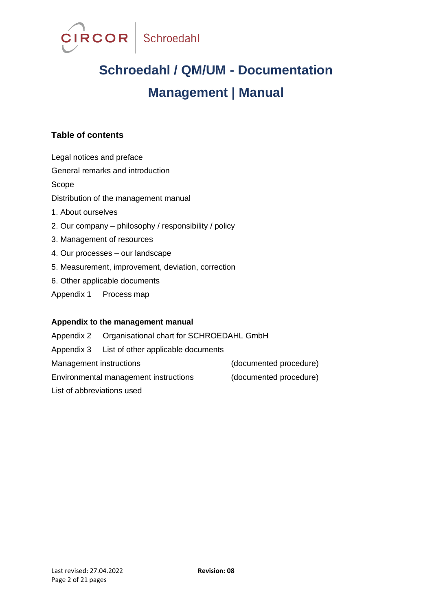

#### **Table of contents**

Legal notices and preface General remarks and introduction Scope Distribution of the management manual 1. About ourselves 2. Our company – philosophy / responsibility / policy 3. Management of resources 4. Our processes – our landscape 5. Measurement, improvement, deviation, correction 6. Other applicable documents Appendix 1 Process map

#### **Appendix to the management manual**

Appendix 2 Organisational chart for SCHROEDAHL GmbH Appendix 3 List of other applicable documents Management instructions (documented procedure) Environmental management instructions (documented procedure) List of abbreviations used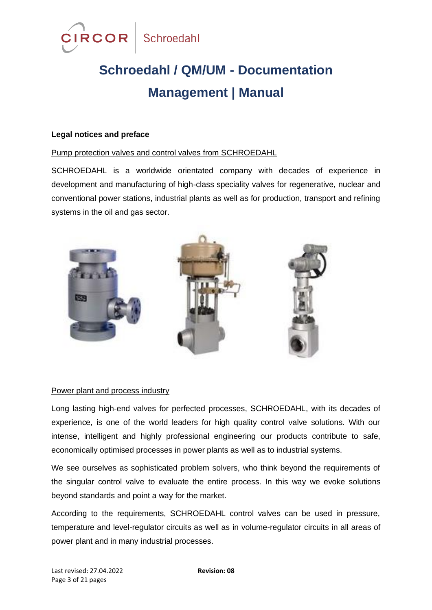

#### **Legal notices and preface**

#### Pump protection valves and control valves from SCHROEDAHL

SCHROEDAHL is a worldwide orientated company with decades of experience in development and manufacturing of high-class speciality valves for regenerative, nuclear and conventional power stations, industrial plants as well as for production, transport and refining systems in the oil and gas sector.



#### Power plant and process industry

Long lasting high-end valves for perfected processes, SCHROEDAHL, with its decades of experience, is one of the world leaders for high quality control valve solutions. With our intense, intelligent and highly professional engineering our products contribute to safe, economically optimised processes in power plants as well as to industrial systems.

We see ourselves as sophisticated problem solvers, who think beyond the requirements of the singular control valve to evaluate the entire process. In this way we evoke solutions beyond standards and point a way for the market.

According to the requirements, SCHROEDAHL control valves can be used in pressure, temperature and level-regulator circuits as well as in volume-regulator circuits in all areas of power plant and in many industrial processes.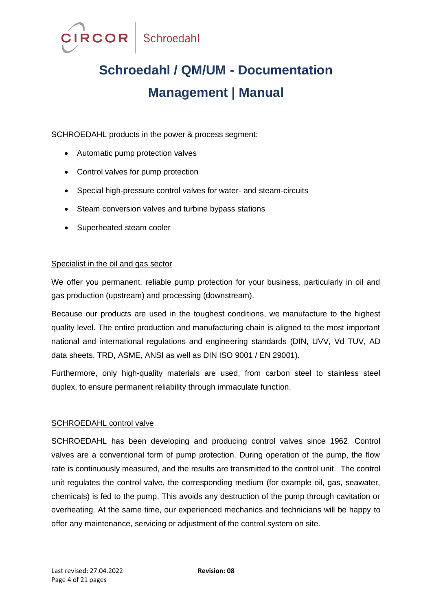

SCHROEDAHL products in the power & process segment:

- Automatic pump protection valves
- Control valves for pump protection
- Special high-pressure control valves for water- and steam-circuits
- Steam conversion valves and turbine bypass stations
- Superheated steam cooler

#### Specialist in the oil and gas sector

We offer you permanent, reliable pump protection for your business, particularly in oil and gas production (upstream) and processing (downstream).

Because our products are used in the toughest conditions, we manufacture to the highest quality level. The entire production and manufacturing chain is aligned to the most important national and international regulations and engineering standards (DIN, UVV, Vd TUV, AD data sheets, TRD, ASME, ANSI as well as DIN ISO 9001 / EN 29001).

Furthermore, only high-quality materials are used, from carbon steel to stainless steel duplex, to ensure permanent reliability through immaculate function.

#### SCHROEDAHL control valve

SCHROEDAHL has been developing and producing control valves since 1962. Control valves are a conventional form of pump protection. During operation of the pump, the flow rate is continuously measured, and the results are transmitted to the control unit. The control unit regulates the control valve, the corresponding medium (for example oil, gas, seawater, chemicals) is fed to the pump. This avoids any destruction of the pump through cavitation or overheating. At the same time, our experienced mechanics and technicians will be happy to offer any maintenance, servicing or adjustment of the control system on site.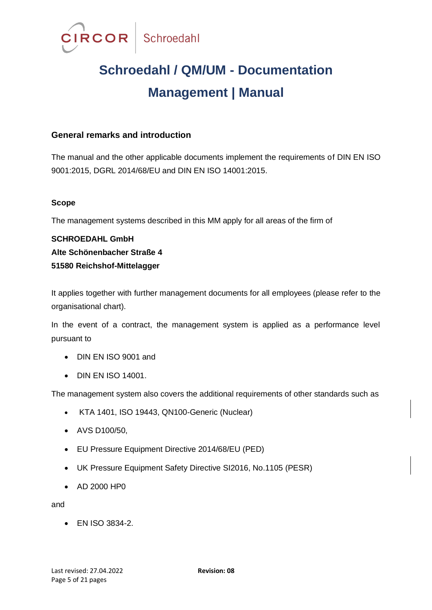

#### **General remarks and introduction**

The manual and the other applicable documents implement the requirements of DIN EN ISO 9001:2015, DGRL 2014/68/EU and DIN EN ISO 14001:2015.

#### **Scope**

The management systems described in this MM apply for all areas of the firm of

**SCHROEDAHL GmbH Alte Schönenbacher Straße 4 51580 Reichshof-Mittelagger**

It applies together with further management documents for all employees (please refer to the organisational chart).

In the event of a contract, the management system is applied as a performance level pursuant to

- DIN EN ISO 9001 and
- DIN EN ISO 14001.

The management system also covers the additional requirements of other standards such as

- KTA 1401, ISO 19443, QN100-Generic (Nuclear)
- AVS D100/50,
- EU Pressure Equipment Directive 2014/68/EU (PED)
- UK Pressure Equipment Safety Directive SI2016, No.1105 (PESR)
- AD 2000 HP0

and

• EN ISO 3834-2.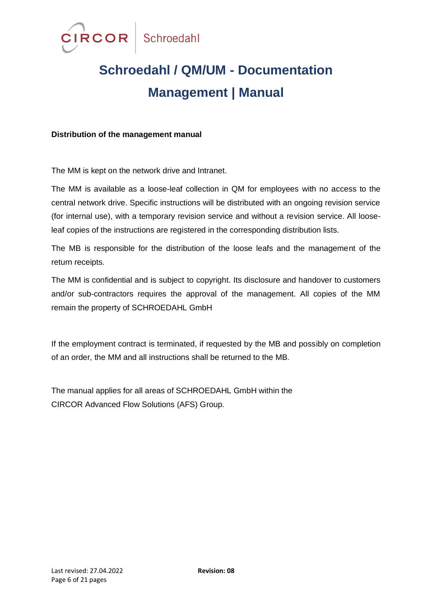

#### **Distribution of the management manual**

The MM is kept on the network drive and Intranet.

The MM is available as a loose-leaf collection in QM for employees with no access to the central network drive. Specific instructions will be distributed with an ongoing revision service (for internal use), with a temporary revision service and without a revision service. All looseleaf copies of the instructions are registered in the corresponding distribution lists.

The MB is responsible for the distribution of the loose leafs and the management of the return receipts.

The MM is confidential and is subject to copyright. Its disclosure and handover to customers and/or sub-contractors requires the approval of the management. All copies of the MM remain the property of SCHROEDAHL GmbH

If the employment contract is terminated, if requested by the MB and possibly on completion of an order, the MM and all instructions shall be returned to the MB.

The manual applies for all areas of SCHROEDAHL GmbH within the CIRCOR Advanced Flow Solutions (AFS) Group.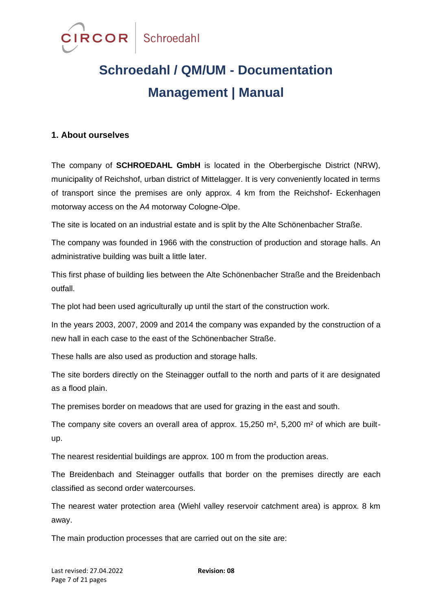

#### **1. About ourselves**

The company of **SCHROEDAHL GmbH** is located in the Oberbergische District (NRW), municipality of Reichshof, urban district of Mittelagger. It is very conveniently located in terms of transport since the premises are only approx. 4 km from the Reichshof- Eckenhagen motorway access on the A4 motorway Cologne-Olpe.

The site is located on an industrial estate and is split by the Alte Schönenbacher Straße.

The company was founded in 1966 with the construction of production and storage halls. An administrative building was built a little later.

This first phase of building lies between the Alte Schönenbacher Straße and the Breidenbach outfall.

The plot had been used agriculturally up until the start of the construction work.

In the years 2003, 2007, 2009 and 2014 the company was expanded by the construction of a new hall in each case to the east of the Schönenbacher Straße.

These halls are also used as production and storage halls.

The site borders directly on the Steinagger outfall to the north and parts of it are designated as a flood plain.

The premises border on meadows that are used for grazing in the east and south.

The company site covers an overall area of approx. 15,250 m<sup>2</sup>, 5,200 m<sup>2</sup> of which are builtup.

The nearest residential buildings are approx. 100 m from the production areas.

The Breidenbach and Steinagger outfalls that border on the premises directly are each classified as second order watercourses.

The nearest water protection area (Wiehl valley reservoir catchment area) is approx. 8 km away.

The main production processes that are carried out on the site are: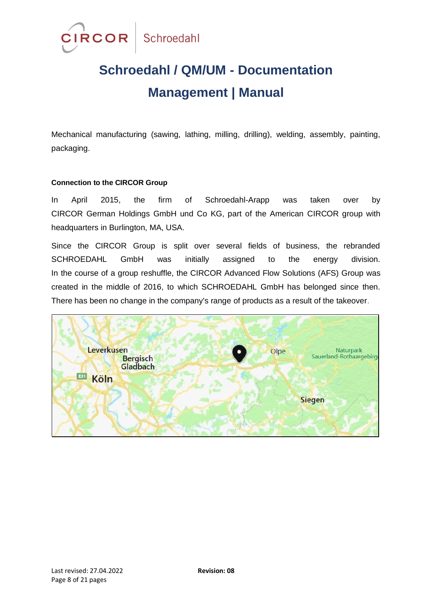

Mechanical manufacturing (sawing, lathing, milling, drilling), welding, assembly, painting, packaging.

#### **Connection to the CIRCOR Group**

In April 2015, the firm of Schroedahl-Arapp was taken over by CIRCOR German Holdings GmbH und Co KG, part of the American CIRCOR group with headquarters in Burlington, MA, USA.

Since the CIRCOR Group is split over several fields of business, the rebranded SCHROEDAHL GmbH was initially assigned to the energy division. In the course of a group reshuffle, the CIRCOR Advanced Flow Solutions (AFS) Group was created in the middle of 2016, to which SCHROEDAHL GmbH has belonged since then. There has been no change in the company's range of products as a result of the takeover.

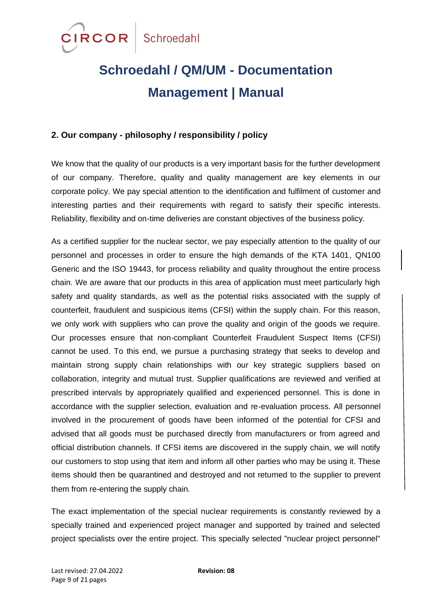

#### **2. Our company - philosophy / responsibility / policy**

We know that the quality of our products is a very important basis for the further development of our company. Therefore, quality and quality management are key elements in our corporate policy. We pay special attention to the identification and fulfilment of customer and interesting parties and their requirements with regard to satisfy their specific interests. Reliability, flexibility and on-time deliveries are constant objectives of the business policy.

As a certified supplier for the nuclear sector, we pay especially attention to the quality of our personnel and processes in order to ensure the high demands of the KTA 1401, QN100 Generic and the ISO 19443, for process reliability and quality throughout the entire process chain. We are aware that our products in this area of application must meet particularly high safety and quality standards, as well as the potential risks associated with the supply of counterfeit, fraudulent and suspicious items (CFSI) within the supply chain. For this reason, we only work with suppliers who can prove the quality and origin of the goods we require. Our processes ensure that non-compliant Counterfeit Fraudulent Suspect Items (CFSI) cannot be used. To this end, we pursue a purchasing strategy that seeks to develop and maintain strong supply chain relationships with our key strategic suppliers based on collaboration, integrity and mutual trust. Supplier qualifications are reviewed and verified at prescribed intervals by appropriately qualified and experienced personnel. This is done in accordance with the supplier selection, evaluation and re-evaluation process. All personnel involved in the procurement of goods have been informed of the potential for CFSI and advised that all goods must be purchased directly from manufacturers or from agreed and official distribution channels. If CFSI items are discovered in the supply chain, we will notify our customers to stop using that item and inform all other parties who may be using it. These items should then be quarantined and destroyed and not returned to the supplier to prevent them from re-entering the supply chain.

The exact implementation of the special nuclear requirements is constantly reviewed by a specially trained and experienced project manager and supported by trained and selected project specialists over the entire project. This specially selected "nuclear project personnel"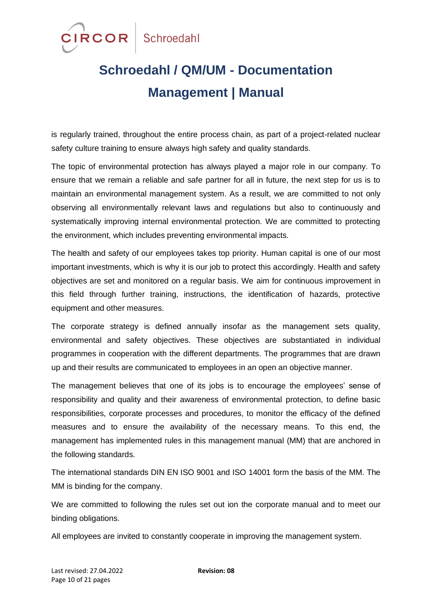

is regularly trained, throughout the entire process chain, as part of a project-related nuclear safety culture training to ensure always high safety and quality standards.

The topic of environmental protection has always played a major role in our company. To ensure that we remain a reliable and safe partner for all in future, the next step for us is to maintain an environmental management system. As a result, we are committed to not only observing all environmentally relevant laws and regulations but also to continuously and systematically improving internal environmental protection. We are committed to protecting the environment, which includes preventing environmental impacts.

The health and safety of our employees takes top priority. Human capital is one of our most important investments, which is why it is our job to protect this accordingly. Health and safety objectives are set and monitored on a regular basis. We aim for continuous improvement in this field through further training, instructions, the identification of hazards, protective equipment and other measures.

The corporate strategy is defined annually insofar as the management sets quality, environmental and safety objectives. These objectives are substantiated in individual programmes in cooperation with the different departments. The programmes that are drawn up and their results are communicated to employees in an open an objective manner.

The management believes that one of its jobs is to encourage the employees' sense of responsibility and quality and their awareness of environmental protection, to define basic responsibilities, corporate processes and procedures, to monitor the efficacy of the defined measures and to ensure the availability of the necessary means. To this end, the management has implemented rules in this management manual (MM) that are anchored in the following standards.

The international standards DIN EN ISO 9001 and ISO 14001 form the basis of the MM. The MM is binding for the company.

We are committed to following the rules set out ion the corporate manual and to meet our binding obligations.

All employees are invited to constantly cooperate in improving the management system.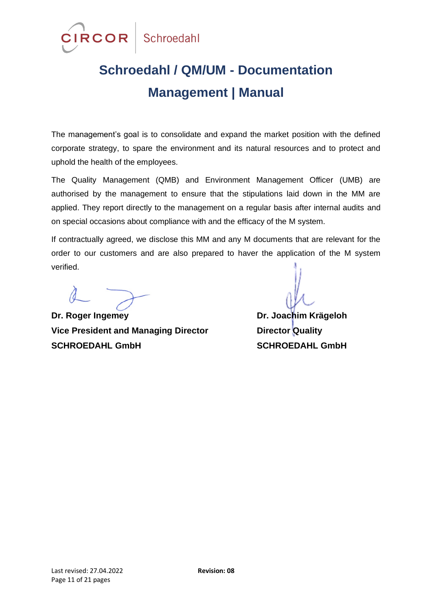

The management's goal is to consolidate and expand the market position with the defined corporate strategy, to spare the environment and its natural resources and to protect and uphold the health of the employees.

The Quality Management (QMB) and Environment Management Officer (UMB) are authorised by the management to ensure that the stipulations laid down in the MM are applied. They report directly to the management on a regular basis after internal audits and on special occasions about compliance with and the efficacy of the M system.

If contractually agreed, we disclose this MM and any M documents that are relevant for the order to our customers and are also prepared to haver the application of the M system verified.

**Dr. Roger Ingemey Dr. Joachim Krägeloh Vice President and Managing Director Director Quality SCHROEDAHL GmbH SCHROEDAHL GmbH**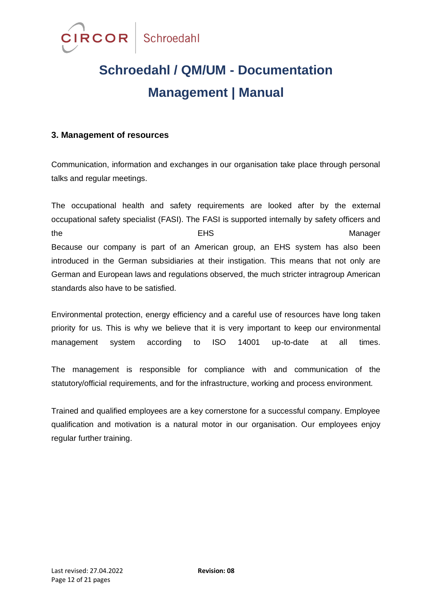

#### **3. Management of resources**

Communication, information and exchanges in our organisation take place through personal talks and regular meetings.

The occupational health and safety requirements are looked after by the external occupational safety specialist (FASI). The FASI is supported internally by safety officers and the the contract of the EHS contract of the Manager Because our company is part of an American group, an EHS system has also been introduced in the German subsidiaries at their instigation. This means that not only are German and European laws and regulations observed, the much stricter intragroup American standards also have to be satisfied.

Environmental protection, energy efficiency and a careful use of resources have long taken priority for us. This is why we believe that it is very important to keep our environmental management system according to ISO 14001 up-to-date at all times.

The management is responsible for compliance with and communication of the statutory/official requirements, and for the infrastructure, working and process environment.

Trained and qualified employees are a key cornerstone for a successful company. Employee qualification and motivation is a natural motor in our organisation. Our employees enjoy regular further training.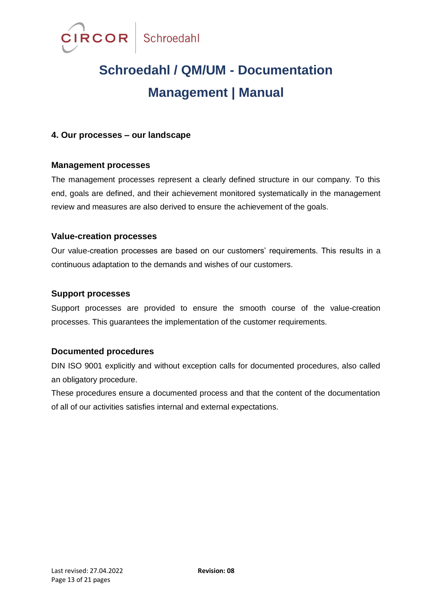

#### **4. Our processes – our landscape**

#### **Management processes**

The management processes represent a clearly defined structure in our company. To this end, goals are defined, and their achievement monitored systematically in the management review and measures are also derived to ensure the achievement of the goals.

#### **Value-creation processes**

Our value-creation processes are based on our customers' requirements. This results in a continuous adaptation to the demands and wishes of our customers.

#### **Support processes**

Support processes are provided to ensure the smooth course of the value-creation processes. This guarantees the implementation of the customer requirements.

#### **Documented procedures**

DIN ISO 9001 explicitly and without exception calls for documented procedures, also called an obligatory procedure.

These procedures ensure a documented process and that the content of the documentation of all of our activities satisfies internal and external expectations.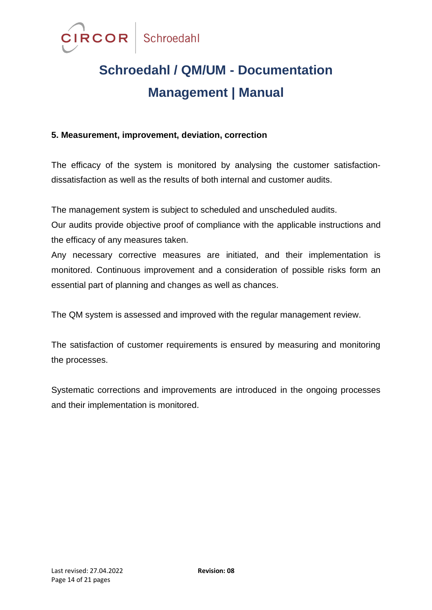

#### **5. Measurement, improvement, deviation, correction**

The efficacy of the system is monitored by analysing the customer satisfactiondissatisfaction as well as the results of both internal and customer audits.

The management system is subject to scheduled and unscheduled audits.

Our audits provide objective proof of compliance with the applicable instructions and the efficacy of any measures taken.

Any necessary corrective measures are initiated, and their implementation is monitored. Continuous improvement and a consideration of possible risks form an essential part of planning and changes as well as chances.

The QM system is assessed and improved with the regular management review.

The satisfaction of customer requirements is ensured by measuring and monitoring the processes.

Systematic corrections and improvements are introduced in the ongoing processes and their implementation is monitored.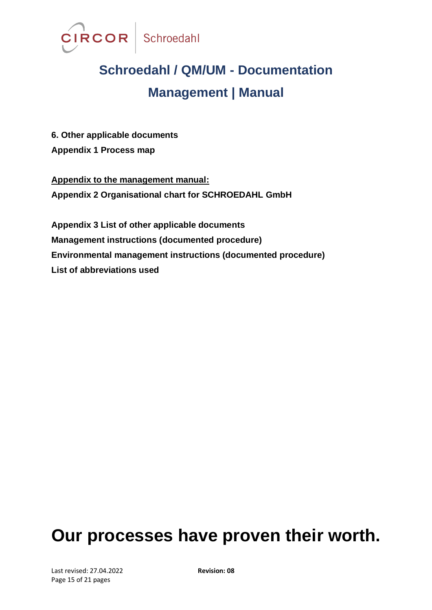

**6. Other applicable documents Appendix 1 Process map**

**Appendix to the management manual: Appendix 2 Organisational chart for SCHROEDAHL GmbH**

**Appendix 3 List of other applicable documents Management instructions (documented procedure) Environmental management instructions (documented procedure) List of abbreviations used**

### **Our processes have proven their worth.**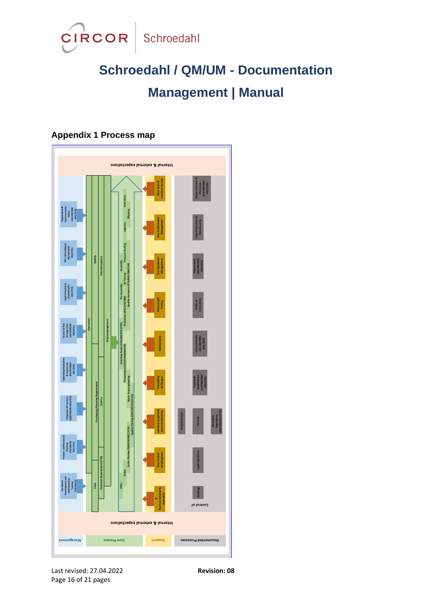

### **Appendix 1 Process map**



Last revised: 27.04.2022 **Revision: 08** Page 16 of 21 pages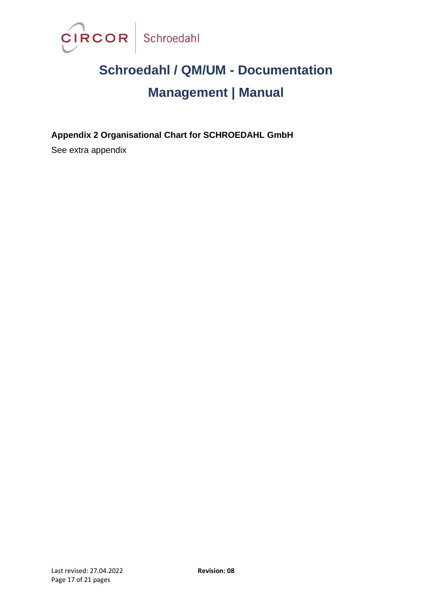

**Appendix 2 Organisational Chart for SCHROEDAHL GmbH**

See extra appendix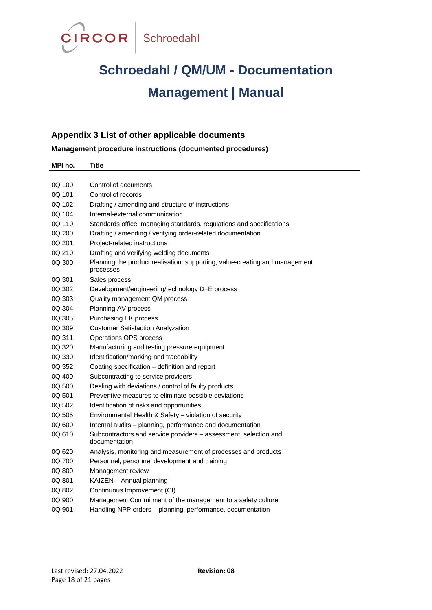

#### **Appendix 3 List of other applicable documents**

**Management procedure instructions (documented procedures)**

| MPI no. | Title                                                                                    |
|---------|------------------------------------------------------------------------------------------|
|         |                                                                                          |
| 0Q 100  | Control of documents                                                                     |
| 0Q 101  | Control of records                                                                       |
| 0Q 102  | Drafting / amending and structure of instructions                                        |
| 0Q 104  | Internal-external communication                                                          |
| 0Q 110  | Standards office: managing standards, regulations and specifications                     |
| 0Q 200  | Drafting / amending / verifying order-related documentation                              |
| 0Q 201  | Project-related instructions                                                             |
| 0Q 210  | Drafting and verifying welding documents                                                 |
| 0Q 300  | Planning the product realisation: supporting, value-creating and management<br>processes |
| 0Q 301  | Sales process                                                                            |
| 0Q 302  | Development/engineering/technology D+E process                                           |
| 0Q 303  | Quality management QM process                                                            |
| 0Q 304  | Planning AV process                                                                      |
| 0Q 305  | Purchasing EK process                                                                    |
| 0Q 309  | <b>Customer Satisfaction Analyzation</b>                                                 |
| 0Q 311  | Operations OPS process                                                                   |
| 0Q 320  | Manufacturing and testing pressure equipment                                             |
| 0Q 330  | Identification/marking and traceability                                                  |
| 0Q 352  | Coating specification - definition and report                                            |
| 0Q 400  | Subcontracting to service providers                                                      |
| 0Q 500  | Dealing with deviations / control of faulty products                                     |
| 0Q 501  | Preventive measures to eliminate possible deviations                                     |
| 0Q 502  | Identification of risks and opportunities                                                |
| 0Q 505  | Environmental Health & Safety - violation of security                                    |
| 0Q 600  | Internal audits - planning, performance and documentation                                |
| 0Q 610  | Subcontractors and service providers - assessment, selection and<br>documentation        |
| 0Q 620  | Analysis, monitoring and measurement of processes and products                           |
| 0Q 700  | Personnel, personnel development and training                                            |
| 0Q 800  | Management review                                                                        |
| 0Q 801  | KAIZEN - Annual planning                                                                 |
| 0Q 802  | Continuous Improvement (CI)                                                              |
| 0Q 900  | Management Commitment of the management to a safety culture                              |
| 0Q 901  | Handling NPP orders - planning, performance, documentation                               |
|         |                                                                                          |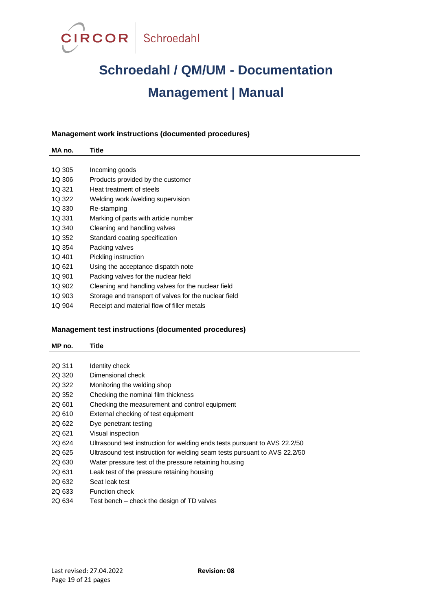

#### **Management work instructions (documented procedures)**

| MA no. | Title                                                 |
|--------|-------------------------------------------------------|
|        |                                                       |
| 1Q 305 | Incoming goods                                        |
| 1Q 306 | Products provided by the customer                     |
| 1Q 321 | Heat treatment of steels                              |
| 1Q 322 | Welding work /welding supervision                     |
| 1Q 330 | Re-stamping                                           |
| 1Q 331 | Marking of parts with article number                  |
| 1Q 340 | Cleaning and handling valves                          |
| 1Q 352 | Standard coating specification                        |
| 1Q 354 | Packing valves                                        |
| 1Q 401 | Pickling instruction                                  |
| 1Q 621 | Using the acceptance dispatch note                    |
| 1Q 901 | Packing valves for the nuclear field                  |
| 1Q 902 | Cleaning and handling valves for the nuclear field    |
| 1Q 903 | Storage and transport of valves for the nuclear field |
|        |                                                       |

1Q 904 Receipt and material flow of filler metals

#### **Management test instructions (documented procedures)**

| MP no. | <b>Title</b>                                                               |
|--------|----------------------------------------------------------------------------|
|        |                                                                            |
| 2Q 311 | Identity check                                                             |
| 2Q 320 | Dimensional check                                                          |
| 2Q 322 | Monitoring the welding shop                                                |
| 2Q 352 | Checking the nominal film thickness                                        |
| 2Q 601 | Checking the measurement and control equipment                             |
| 2Q 610 | External checking of test equipment                                        |
| 2Q 622 | Dye penetrant testing                                                      |
| 2Q 621 | Visual inspection                                                          |
| 2Q 624 | Ultrasound test instruction for welding ends tests pursuant to AVS 22.2/50 |
| 2Q 625 | Ultrasound test instruction for welding seam tests pursuant to AVS 22.2/50 |
| 2Q 630 | Water pressure test of the pressure retaining housing                      |
| 2Q 631 | Leak test of the pressure retaining housing                                |
| 2Q 632 | Seat leak test                                                             |
| 2Q 633 | <b>Function check</b>                                                      |
| 2Q 634 | Test bench – check the design of TD valves                                 |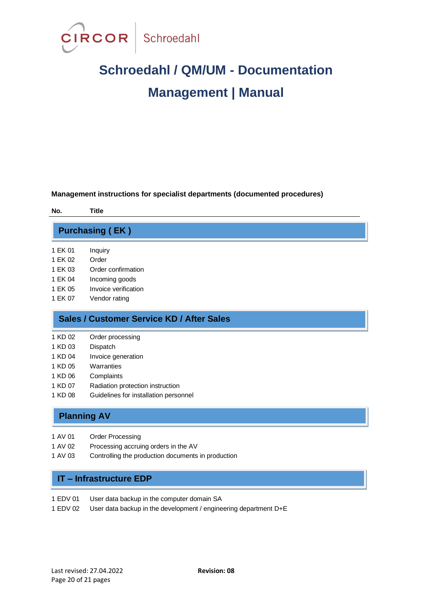

**Management instructions for specialist departments (documented procedures)**

| No.                                       |         | Title                  |
|-------------------------------------------|---------|------------------------|
|                                           |         | <b>Purchasing (EK)</b> |
|                                           | 1 EK 01 | Inquiry                |
|                                           | 1 FK 02 | Order                  |
|                                           | 1 FK 03 | Order confirmation     |
|                                           | 1 FK 04 | Incoming goods         |
|                                           | 1 FK 05 | Invoice verification   |
|                                           | 1 EK 07 | Vendor rating          |
| Sales / Customer Service KD / After Sales |         |                        |
|                                           | 1 KD 02 | Order processing       |

- 
- 1 KD 03 Dispatch
- 1 KD 04 Invoice generation
- 1 KD 05 Warranties
- 1 KD 06 Complaints
- 1 KD 07 Radiation protection instruction
- 1 KD 08 Guidelines for installation personnel

#### **Planning AV**

- 1 AV 01 Order Processing
- 1 AV 02 Processing accruing orders in the AV
- 1 AV 03 Controlling the production documents in production

#### **IT – Infrastructure EDP**

- 1 EDV 01 User data backup in the computer domain SA
- 1 EDV 02 User data backup in the development / engineering department D+E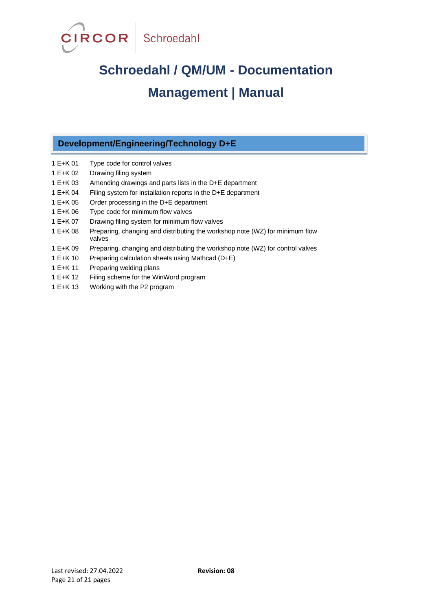

#### **Development/Engineering/Technology D+E**

- 1 E+K 01 Type code for control valves
- 1 E+K 02 Drawing filing system
- 1 E+K 03 Amending drawings and parts lists in the D+E department
- 1 E+K 04 Filing system for installation reports in the D+E department
- 1 E+K 05 Order processing in the D+E department
- 1 E+K 06 Type code for minimum flow valves
- 1 E+K 07 Drawing filing system for minimum flow valves
- 1 E+K 08 Preparing, changing and distributing the workshop note (WZ) for minimum flow valves
- 1 E+K 09 Preparing, changing and distributing the workshop note (WZ) for control valves
- 1 E+K 10 Preparing calculation sheets using Mathcad (D+E)
- 1 E+K 11 Preparing welding plans
- 1 E+K 12 Filing scheme for the WinWord program
- 1 E+K 13 Working with the P2 program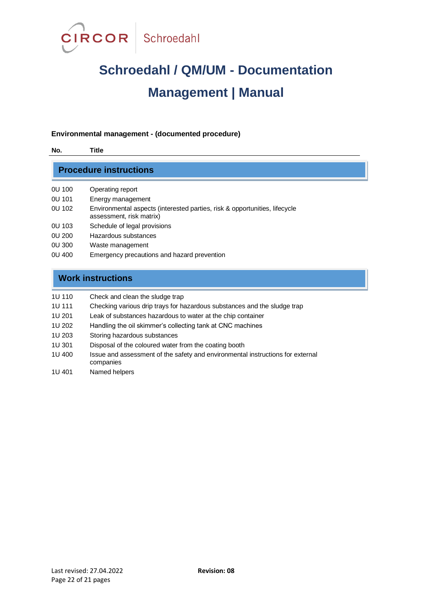

#### **Environmental management - (documented procedure)**

| <b>Procedure instructions</b> |                                                                                                        |  |
|-------------------------------|--------------------------------------------------------------------------------------------------------|--|
| 0U 100                        | Operating report                                                                                       |  |
| OU 101                        | Energy management                                                                                      |  |
| OU 102                        | Environmental aspects (interested parties, risk & opportunities, lifecycle<br>assessment, risk matrix) |  |
| OU 103                        | Schedule of legal provisions                                                                           |  |
| 0U 200                        | Hazardous substances                                                                                   |  |
| 0U 300                        | Waste management                                                                                       |  |
| OU 400                        | Emergency precautions and hazard prevention                                                            |  |

| 1U 110 | Check and clean the sludge trap |
|--------|---------------------------------|
|--------|---------------------------------|

- 1U 111 Checking various drip trays for hazardous substances and the sludge trap
- 1U 201 Leak of substances hazardous to water at the chip container
- 1U 202 Handling the oil skimmer's collecting tank at CNC machines
- 1U 203 Storing hazardous substances
- 1U 301 Disposal of the coloured water from the coating booth
- 1U 400 Issue and assessment of the safety and environmental instructions for external companies
- 1U 401 Named helpers